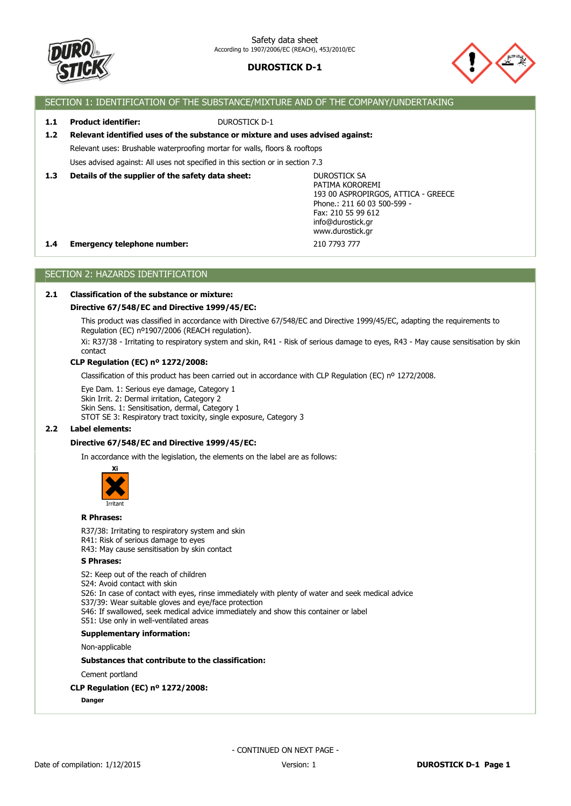



### SECTION 1: IDENTIFICATION OF THE SUBSTANCE/MIXTURE AND OF THE COMPANY/UNDERTAKING

### **1.1 Product identifier:** DUROSTICK D-1

### **1.2 Relevant identified uses of the substance or mixture and uses advised against:**

Relevant uses: Brushable waterproofing mortar for walls, floors & rooftops

Uses advised against: All uses not specified in this section or in section 7.3

#### **1.3 Details of the supplier of the safety data sheet:**

DUROSTICK SA PATIMA KOROREMI 193 00 ASPROPIRGOS, ATTICA - GREECE Phone.: 211 60 03 500-599 - Fax: 210 55 99 612 info@durostick.gr www.durostick.gr

#### **1.4 Emergency telephone number:** 210 7793 777

SECTION 2: HAZARDS IDENTIFICATION

### **2.1 Classification of the substance or mixture:**

#### **Directive 67/548/EC and Directive 1999/45/EC:**

This product was classified in accordance with Directive 67/548/EC and Directive 1999/45/EC, adapting the requirements to Regulation (EC) nº1907/2006 (REACH regulation).

Xi: R37/38 - Irritating to respiratory system and skin, R41 - Risk of serious damage to eyes, R43 - May cause sensitisation by skin contact

#### **CLP Regulation (EC) nº 1272/2008:**

Classification of this product has been carried out in accordance with CLP Regulation (EC) nº 1272/2008.

Eye Dam. 1: Serious eye damage, Category 1 Skin Irrit. 2: Dermal irritation, Category 2 Skin Sens. 1: Sensitisation, dermal, Category 1 STOT SE 3: Respiratory tract toxicity, single exposure, Category 3

#### **2.2 Label elements:**

#### **Directive 67/548/EC and Directive 1999/45/EC:**

In accordance with the legislation, the elements on the label are as follows:



#### **R Phrases:**

R37/38: Irritating to respiratory system and skin R41: Risk of serious damage to eyes

R43: May cause sensitisation by skin contact

### **S Phrases:**

S2: Keep out of the reach of children S24: Avoid contact with skin S26: In case of contact with eyes, rinse immediately with plenty of water and seek medical advice S37/39: Wear suitable gloves and eye/face protection S46: If swallowed, seek medical advice immediately and show this container or label S51: Use only in well-ventilated areas

### **Supplementary information:**

Non-applicable

#### **Substances that contribute to the classification:**

Cement portland

#### **CLP Regulation (EC) nº 1272/2008:**

**Danger**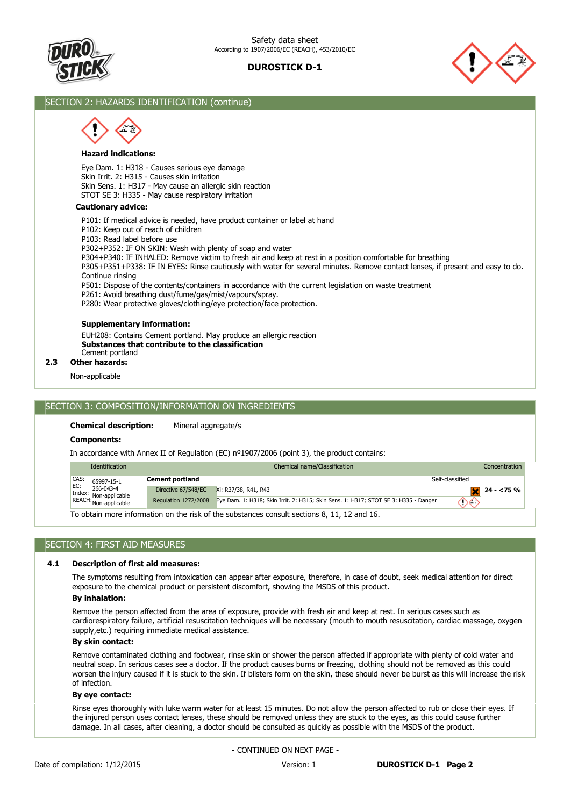



### SECTION 2: HAZARDS IDENTIFICATION (continue)

#### **Hazard indications:**

Eye Dam. 1: H318 - Causes serious eye damage Skin Irrit. 2: H315 - Causes skin irritation Skin Sens. 1: H317 - May cause an allergic skin reaction STOT SE 3: H335 - May cause respiratory irritation

#### **Cautionary advice:**

P101: If medical advice is needed, have product container or label at hand

P102: Keep out of reach of children

P103: Read label before use

P302+P352: IF ON SKIN: Wash with plenty of soap and water

P304+P340: IF INHALED: Remove victim to fresh air and keep at rest in a position comfortable for breathing

P305+P351+P338: IF IN EYES: Rinse cautiously with water for several minutes. Remove contact lenses, if present and easy to do. Continue rinsing

P501: Dispose of the contents/containers in accordance with the current legislation on waste treatment

P261: Avoid breathing dust/fume/gas/mist/vapours/spray.

P280: Wear protective gloves/clothing/eye protection/face protection.

#### **Supplementary information:**

Cement portland **Substances that contribute to the classification** EUH208: Contains Cement portland. May produce an allergic reaction

#### **2.3 Other hazards:**

Non-applicable

#### SECTION 3: COMPOSITION/INFORMATION ON INGREDIENTS

#### **Chemical description:** Mineral aggregate/s

**Components:**

In accordance with Annex II of Regulation (EC) nº1907/2006 (point 3), the product contains:

| <b>Identification</b>                                              |                                                                                            | Chemical name/Classification                                                        |                 | Concentration |  |  |  |
|--------------------------------------------------------------------|--------------------------------------------------------------------------------------------|-------------------------------------------------------------------------------------|-----------------|---------------|--|--|--|
| CAS:<br>65997-15-1                                                 | Cement portland                                                                            |                                                                                     | Self-classified |               |  |  |  |
| EC:<br>266-043-4                                                   | Directive 67/548/EC                                                                        | Xi: R37/38, R41, R43                                                                |                 | $24 - 75%$    |  |  |  |
| Index: 200-043-4<br>REACH: Non-applicable<br>REACH: Non-applicable | Regulation 1272/2008                                                                       | Eye Dam. 1: H318; Skin Irrit. 2: H315; Skin Sens. 1: H317; STOT SE 3: H335 - Danger | へへ              |               |  |  |  |
|                                                                    | To obtain more information on the righ of the qubetances consult sections 0, 11, 12 and 16 |                                                                                     |                 |               |  |  |  |

To obtain more information on the risk of the substances consult sections 8, 11, 12 and 16.

### SECTION 4: FIRST AID MEASURES

#### **4.1 Description of first aid measures:**

The symptoms resulting from intoxication can appear after exposure, therefore, in case of doubt, seek medical attention for direct exposure to the chemical product or persistent discomfort, showing the MSDS of this product.

#### **By inhalation:**

Remove the person affected from the area of exposure, provide with fresh air and keep at rest. In serious cases such as cardiorespiratory failure, artificial resuscitation techniques will be necessary (mouth to mouth resuscitation, cardiac massage, oxygen supply,etc.) requiring immediate medical assistance.

#### **By skin contact:**

Remove contaminated clothing and footwear, rinse skin or shower the person affected if appropriate with plenty of cold water and neutral soap. In serious cases see a doctor. If the product causes burns or freezing, clothing should not be removed as this could worsen the injury caused if it is stuck to the skin. If blisters form on the skin, these should never be burst as this will increase the risk of infection.

#### **By eye contact:**

Rinse eyes thoroughly with luke warm water for at least 15 minutes. Do not allow the person affected to rub or close their eyes. If the injured person uses contact lenses, these should be removed unless they are stuck to the eyes, as this could cause further damage. In all cases, after cleaning, a doctor should be consulted as quickly as possible with the MSDS of the product.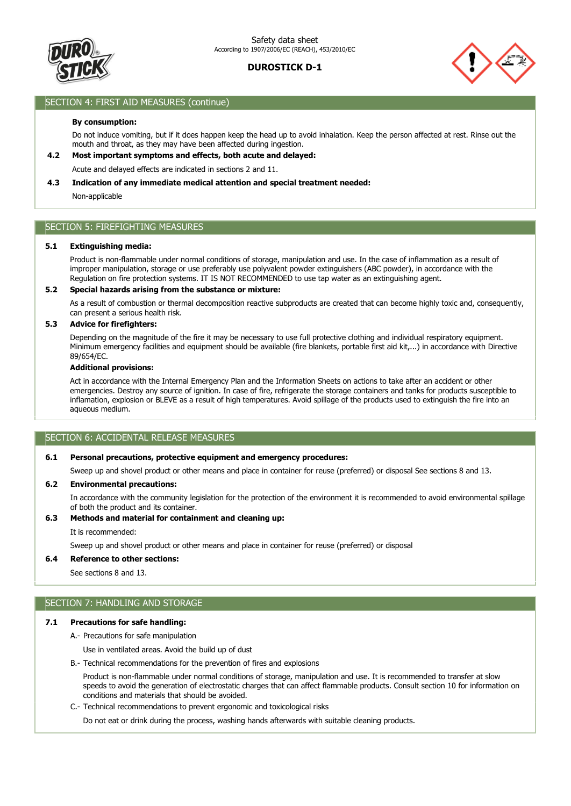



### SECTION 4: FIRST AID MEASURES (continue)

#### **By consumption:**

Do not induce vomiting, but if it does happen keep the head up to avoid inhalation. Keep the person affected at rest. Rinse out the mouth and throat, as they may have been affected during ingestion.

### **4.2 Most important symptoms and effects, both acute and delayed:**

Acute and delayed effects are indicated in sections 2 and 11.

#### **4.3 Indication of any immediate medical attention and special treatment needed:**

Non-applicable

### SECTION 5: FIREFIGHTING MEASURES

#### **5.1 Extinguishing media:**

Product is non-flammable under normal conditions of storage, manipulation and use. In the case of inflammation as a result of improper manipulation, storage or use preferably use polyvalent powder extinguishers (ABC powder), in accordance with the Regulation on fire protection systems. IT IS NOT RECOMMENDED to use tap water as an extinguishing agent.

#### **5.2 Special hazards arising from the substance or mixture:**

As a result of combustion or thermal decomposition reactive subproducts are created that can become highly toxic and, consequently, can present a serious health risk.

#### **5.3 Advice for firefighters:**

Depending on the magnitude of the fire it may be necessary to use full protective clothing and individual respiratory equipment. Minimum emergency facilities and equipment should be available (fire blankets, portable first aid kit,...) in accordance with Directive 89/654/EC.

#### **Additional provisions:**

Act in accordance with the Internal Emergency Plan and the Information Sheets on actions to take after an accident or other emergencies. Destroy any source of ignition. In case of fire, refrigerate the storage containers and tanks for products susceptible to inflamation, explosion or BLEVE as a result of high temperatures. Avoid spillage of the products used to extinguish the fire into an aqueous medium.

#### SECTION 6: ACCIDENTAL RELEASE MEASURES

#### **6.1 Personal precautions, protective equipment and emergency procedures:**

Sweep up and shovel product or other means and place in container for reuse (preferred) or disposal See sections 8 and 13.

#### **6.2 Environmental precautions:**

In accordance with the community legislation for the protection of the environment it is recommended to avoid environmental spillage of both the product and its container.

### **6.3 Methods and material for containment and cleaning up:**

It is recommended:

Sweep up and shovel product or other means and place in container for reuse (preferred) or disposal

#### **6.4 Reference to other sections:**

See sections 8 and 13.

### SECTION 7: HANDLING AND STORAGE

#### **7.1 Precautions for safe handling:**

A.- Precautions for safe manipulation

Use in ventilated areas. Avoid the build up of dust

B.- Technical recommendations for the prevention of fires and explosions

Product is non-flammable under normal conditions of storage, manipulation and use. It is recommended to transfer at slow speeds to avoid the generation of electrostatic charges that can affect flammable products. Consult section 10 for information on conditions and materials that should be avoided.

C.- Technical recommendations to prevent ergonomic and toxicological risks

Do not eat or drink during the process, washing hands afterwards with suitable cleaning products.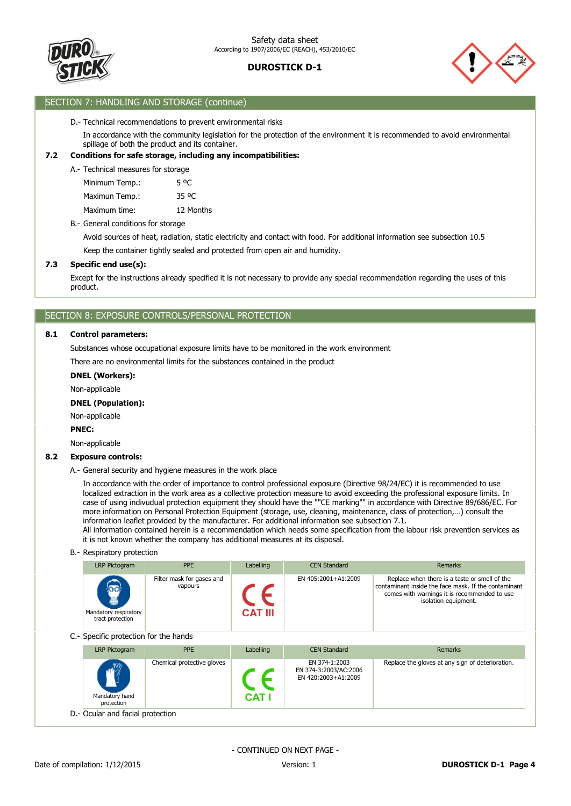



### SECTION 7: HANDLING AND STORAGE (continue)

#### D.- Technical recommendations to prevent environmental risks

In accordance with the community legislation for the protection of the environment it is recommended to avoid environmental spillage of both the product and its container.

#### **7.2 Conditions for safe storage, including any incompatibilities:**

A.- Technical measures for storage

| Minimum Temp.: | 5 OC              |
|----------------|-------------------|
| Maximun Temp.: | 35 <sup>o</sup> C |
| Maximum time:  | 12 Months         |

B.- General conditions for storage

Keep the container tightly sealed and protected from open air and humidity. Avoid sources of heat, radiation, static electricity and contact with food. For additional information see subsection 10.5

#### **7.3 Specific end use(s):**

Except for the instructions already specified it is not necessary to provide any special recommendation regarding the uses of this product.

### SECTION 8: EXPOSURE CONTROLS/PERSONAL PROTECTION

#### **8.1 Control parameters:**

Substances whose occupational exposure limits have to be monitored in the work environment

There are no environmental limits for the substances contained in the product

#### **DNEL (Workers):**

Non-applicable

#### **DNEL (Population):**

Non-applicable

#### **PNEC:**

Non-applicable

#### **8.2 Exposure controls:**

A.- General security and hygiene measures in the work place

In accordance with the order of importance to control professional exposure (Directive 98/24/EC) it is recommended to use localized extraction in the work area as a collective protection measure to avoid exceeding the professional exposure limits. In case of using indivudual protection equipment they should have the ""CE marking"" in accordance with Directive 89/686/EC. For more information on Personal Protection Equipment (storage, use, cleaning, maintenance, class of protection,…) consult the information leaflet provided by the manufacturer. For additional information see subsection 7.1.

All information contained herein is a recommendation which needs some specification from the labour risk prevention services as it is not known whether the company has additional measures at its disposal.

#### B.- Respiratory protection

| LRP Pictogram                                                       | <b>PPE</b>                           | Labelling      | <b>CEN Standard</b> | Remarks                                                                                                                                                                       |
|---------------------------------------------------------------------|--------------------------------------|----------------|---------------------|-------------------------------------------------------------------------------------------------------------------------------------------------------------------------------|
| $\widehat{\mathbf{a}}$<br>Mandatory respiratory<br>tract protection | Filter mask for gases and<br>vapours | <b>CAT III</b> | EN 405:2001+A1:2009 | Replace when there is a taste or smell of the<br>contaminant inside the face mask. If the contaminant<br>comes with warnings it is recommended to use<br>isolation equipment. |

C.- Specific protection for the hands

| LRP Pictogram                              | <b>PPE</b>                 | Labelling | <b>CEN Standard</b>                                           | Remarks                                          |  |  |
|--------------------------------------------|----------------------------|-----------|---------------------------------------------------------------|--------------------------------------------------|--|--|
| $\sqrt{m}$<br>Mandatory hand<br>protection | Chemical protective gloves | $CAT$ .   | EN 374-1:2003<br>EN 374-3:2003/AC:2006<br>EN 420:2003+A1:2009 | Replace the gloves at any sign of deterioration. |  |  |
| D.- Ocular and facial protection           |                            |           |                                                               |                                                  |  |  |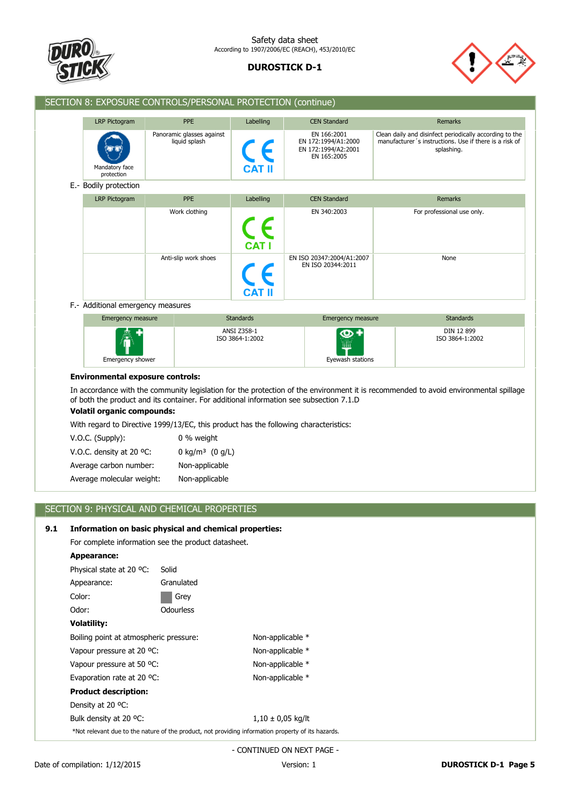



### SECTION 8: EXPOSURE CONTROLS/PERSONAL PROTECTION (continue)

| <b>LRP Pictogram</b>                                      | <b>PPE</b>                                 | Labelling     | <b>CEN Standard</b>                                                      | Remarks                                                                                                                         |
|-----------------------------------------------------------|--------------------------------------------|---------------|--------------------------------------------------------------------------|---------------------------------------------------------------------------------------------------------------------------------|
| $(\mathbf{0},\mathbf{0})$<br>Mandatory face<br>protection | Panoramic glasses against<br>liquid splash | <b>CAT II</b> | EN 166:2001<br>EN 172:1994/A1:2000<br>EN 172:1994/A2:2001<br>EN 165:2005 | Clean daily and disinfect periodically according to the<br>manufacturer's instructions. Use if there is a risk of<br>splashing. |

| LRP Pictogram | <b>PPE</b>           | Labelling     | <b>CEN Standard</b>                            | Remarks                    |
|---------------|----------------------|---------------|------------------------------------------------|----------------------------|
|               | Work clothing        | <b>CAT I</b>  | EN 340:2003                                    | For professional use only. |
|               | Anti-slip work shoes | <b>CAT II</b> | EN ISO 20347:2004/A1:2007<br>EN ISO 20344:2011 | None                       |

#### F.- Additional emergency measures

| Emergency measure | <b>Standards</b> | Emergency measure | <b>Standards</b> |
|-------------------|------------------|-------------------|------------------|
| 衞                 | ANSI Z358-1      | $\frac{1}{2}$     | DIN 12 899       |
| Emergency shower  | ISO 3864-1:2002  | Eyewash stations  | ISO 3864-1:2002  |

#### **Environmental exposure controls:**

In accordance with the community legislation for the protection of the environment it is recommended to avoid environmental spillage of both the product and its container. For additional information see subsection 7.1.D

### **Volatil organic compounds:**

With regard to Directive 1999/13/EC, this product has the following characteristics:

| $V.O.C.$ (Supply):                 | 0 % weight                    |
|------------------------------------|-------------------------------|
| V.O.C. density at 20 $^{\circ}$ C: | 0 kg/m <sup>3</sup> $(0 g/L)$ |
| Average carbon number:             | Non-applicable                |
| Average molecular weight:          | Non-applicable                |

### SECTION 9: PHYSICAL AND CHEMICAL PROPERTIES

### **9.1 Information on basic physical and chemical properties:**

For complete information see the product datasheet.

| Appearance:                            |                  |                                                                                                    |  |
|----------------------------------------|------------------|----------------------------------------------------------------------------------------------------|--|
| Physical state at 20 °C:               | Solid            |                                                                                                    |  |
| Appearance:                            | Granulated       |                                                                                                    |  |
| Color:                                 | Grey             |                                                                                                    |  |
| Odor:                                  | <b>Odourless</b> |                                                                                                    |  |
| <b>Volatility:</b>                     |                  |                                                                                                    |  |
| Boiling point at atmospheric pressure: |                  | Non-applicable *                                                                                   |  |
| Vapour pressure at 20 °C:              |                  | Non-applicable *                                                                                   |  |
| Vapour pressure at 50 °C:              |                  | Non-applicable *                                                                                   |  |
| Evaporation rate at 20 °C:             |                  | Non-applicable *                                                                                   |  |
| <b>Product description:</b>            |                  |                                                                                                    |  |
| Density at 20 °C:                      |                  |                                                                                                    |  |
| Bulk density at 20 °C:                 |                  | $1,10 \pm 0.05$ kg/lt                                                                              |  |
|                                        |                  | *Not relevant due to the nature of the product, not providing information property of its hazards. |  |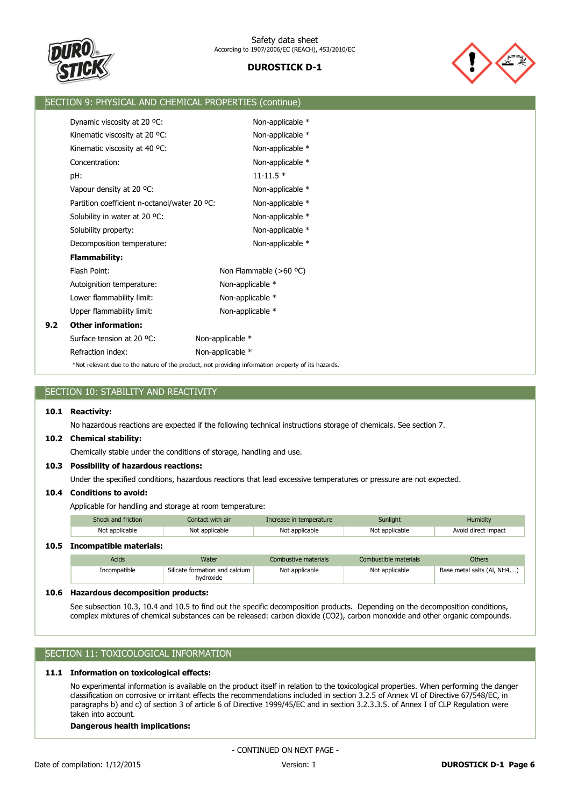



|     | SECTION 9: PHYSICAL AND CHEMICAL PROPERTIES (continue)                                             |                           |  |  |  |  |
|-----|----------------------------------------------------------------------------------------------------|---------------------------|--|--|--|--|
|     | Dynamic viscosity at 20 °C:                                                                        | Non-applicable *          |  |  |  |  |
|     |                                                                                                    |                           |  |  |  |  |
|     | Kinematic viscosity at 20 °C:                                                                      | Non-applicable *          |  |  |  |  |
|     | Kinematic viscosity at 40 °C:                                                                      | Non-applicable *          |  |  |  |  |
|     | Concentration:                                                                                     | Non-applicable *          |  |  |  |  |
|     | pH:                                                                                                | $11 - 11.5$ *             |  |  |  |  |
|     | Vapour density at 20 °C:                                                                           | Non-applicable *          |  |  |  |  |
|     | Partition coefficient n-octanol/water 20 °C:                                                       | Non-applicable *          |  |  |  |  |
|     | Solubility in water at 20 °C:                                                                      | Non-applicable *          |  |  |  |  |
|     | Solubility property:                                                                               | Non-applicable *          |  |  |  |  |
|     | Decomposition temperature:                                                                         | Non-applicable *          |  |  |  |  |
|     | <b>Flammability:</b>                                                                               |                           |  |  |  |  |
|     | Flash Point:                                                                                       | Non Flammable ( $>60$ °C) |  |  |  |  |
|     | Autoignition temperature:                                                                          | Non-applicable *          |  |  |  |  |
|     | Lower flammability limit:                                                                          | Non-applicable *          |  |  |  |  |
|     | Upper flammability limit:                                                                          | Non-applicable *          |  |  |  |  |
| 9.2 | <b>Other information:</b>                                                                          |                           |  |  |  |  |
|     | Surface tension at 20 °C:                                                                          | Non-applicable *          |  |  |  |  |
|     | Refraction index:                                                                                  | Non-applicable *          |  |  |  |  |
|     | *Not relevant due to the nature of the product, not providing information property of its hazards. |                           |  |  |  |  |

| SECTION 10: STABILITY AND REACTIVITY |                                                                                                                    |                  |                         |                       |               |  |  |  |  |
|--------------------------------------|--------------------------------------------------------------------------------------------------------------------|------------------|-------------------------|-----------------------|---------------|--|--|--|--|
| 10.1                                 | <b>Reactivity:</b>                                                                                                 |                  |                         |                       |               |  |  |  |  |
|                                      | No hazardous reactions are expected if the following technical instructions storage of chemicals. See section 7.   |                  |                         |                       |               |  |  |  |  |
| 10.2                                 | <b>Chemical stability:</b>                                                                                         |                  |                         |                       |               |  |  |  |  |
|                                      | Chemically stable under the conditions of storage, handling and use.                                               |                  |                         |                       |               |  |  |  |  |
| 10.3                                 | <b>Possibility of hazardous reactions:</b>                                                                         |                  |                         |                       |               |  |  |  |  |
|                                      | Under the specified conditions, hazardous reactions that lead excessive temperatures or pressure are not expected. |                  |                         |                       |               |  |  |  |  |
| 10.4                                 | <b>Conditions to avoid:</b>                                                                                        |                  |                         |                       |               |  |  |  |  |
|                                      | Applicable for handling and storage at room temperature:                                                           |                  |                         |                       |               |  |  |  |  |
|                                      | Shock and friction                                                                                                 | Contact with air | Increase in temperature | Sunlight              | Humidity      |  |  |  |  |
|                                      | Not applicable<br>Not applicable<br>Not applicable<br>Not applicable<br>Avoid direct impact                        |                  |                         |                       |               |  |  |  |  |
| 10.5                                 | <b>Incompatible materials:</b>                                                                                     |                  |                         |                       |               |  |  |  |  |
|                                      | Acids                                                                                                              | Water            | Combustive materials    | Combustible materials | <b>Others</b> |  |  |  |  |

| <b>Acids</b> | Water                                       | Combustive materials | Combustible materials | Others                      |
|--------------|---------------------------------------------|----------------------|-----------------------|-----------------------------|
| Incompatible | Silicate formation and calcium<br>hydroxide | Not applicable       | Not applicable        | Base metal salts (Al, NH4,) |

### **10.6 Hazardous decomposition products:**

See subsection 10.3, 10.4 and 10.5 to find out the specific decomposition products. Depending on the decomposition conditions, complex mixtures of chemical substances can be released: carbon dioxide (CO2), carbon monoxide and other organic compounds.

### SECTION 11: TOXICOLOGICAL INFORMATION

#### **11.1 Information on toxicological effects:**

No experimental information is available on the product itself in relation to the toxicological properties. When performing the danger classification on corrosive or irritant effects the recommendations included in section 3.2.5 of Annex VI of Directive 67/548/EC, in paragraphs b) and c) of section 3 of article 6 of Directive 1999/45/EC and in section 3.2.3.3.5. of Annex I of CLP Regulation were taken into account.

#### **Dangerous health implications:**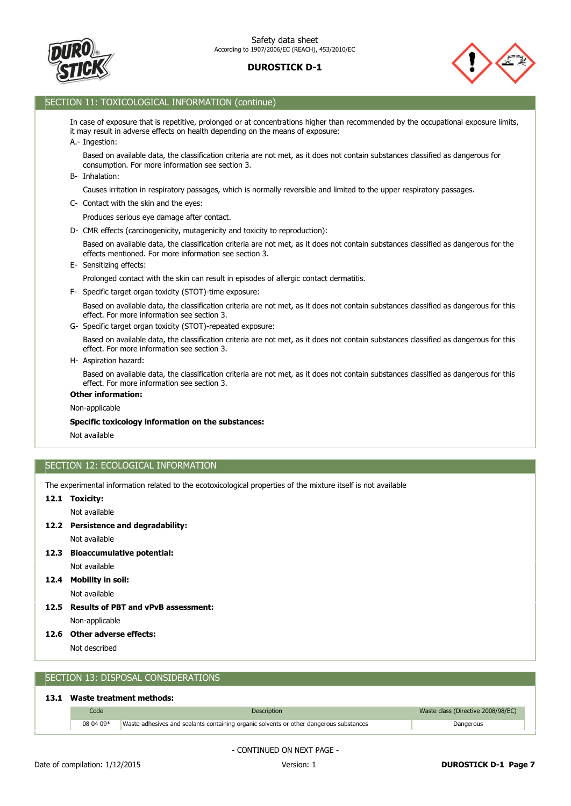



### SECTION 11: TOXICOLOGICAL INFORMATION (continue)

In case of exposure that is repetitive, prolonged or at concentrations higher than recommended by the occupational exposure limits, it may result in adverse effects on health depending on the means of exposure:

A.- Ingestion:

Based on available data, the classification criteria are not met, as it does not contain substances classified as dangerous for consumption. For more information see section 3.

B- Inhalation:

Causes irritation in respiratory passages, which is normally reversible and limited to the upper respiratory passages.

C- Contact with the skin and the eyes:

Produces serious eye damage after contact.

D- CMR effects (carcinogenicity, mutagenicity and toxicity to reproduction):

Based on available data, the classification criteria are not met, as it does not contain substances classified as dangerous for the effects mentioned. For more information see section 3.

E- Sensitizing effects:

Prolonged contact with the skin can result in episodes of allergic contact dermatitis.

F- Specific target organ toxicity (STOT)-time exposure:

Based on available data, the classification criteria are not met, as it does not contain substances classified as dangerous for this effect. For more information see section 3.

G- Specific target organ toxicity (STOT)-repeated exposure:

Based on available data, the classification criteria are not met, as it does not contain substances classified as dangerous for this effect. For more information see section 3.

H- Aspiration hazard:

Based on available data, the classification criteria are not met, as it does not contain substances classified as dangerous for this effect. For more information see section 3.

#### **Other information:**

Non-applicable

#### **Specific toxicology information on the substances:**

Not available

### SECTION 12: ECOLOGICAL INFORMATION

The experimental information related to the ecotoxicological properties of the mixture itself is not available

#### **12.1 Toxicity:**

Not available

**12.2 Persistence and degradability:**

Not available

#### **12.3 Bioaccumulative potential:**

Not available

Not available **12.4 Mobility in soil:**

Non-applicable **12.5 Results of PBT and vPvB assessment:**

**12.6 Other adverse effects:**

Not described

### SECTION 13: DISPOSAL CONSIDERATIONS

#### **13.1 Waste treatment methods:**

| Code      | <b>Description</b>                                                                     | Waste class (Directive 2008/98/EC) |
|-----------|----------------------------------------------------------------------------------------|------------------------------------|
| 08 04 09* | Waste adhesives and sealants containing organic solvents or other dangerous substances | Dangerous                          |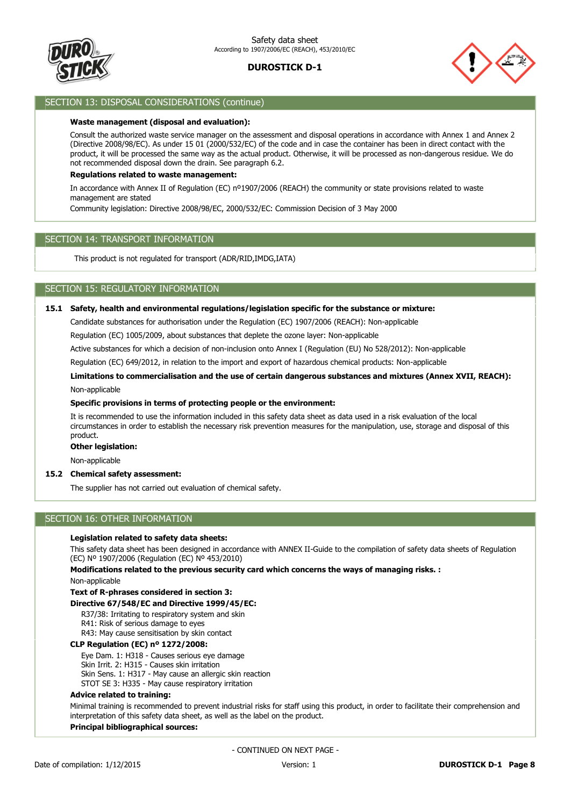



### SECTION 13: DISPOSAL CONSIDERATIONS (continue)

#### **Waste management (disposal and evaluation):**

Consult the authorized waste service manager on the assessment and disposal operations in accordance with Annex 1 and Annex 2 (Directive 2008/98/EC). As under 15 01 (2000/532/EC) of the code and in case the container has been in direct contact with the product, it will be processed the same way as the actual product. Otherwise, it will be processed as non-dangerous residue. We do not recommended disposal down the drain. See paragraph 6.2.

#### **Regulations related to waste management:**

In accordance with Annex II of Regulation (EC) nº1907/2006 (REACH) the community or state provisions related to waste management are stated

Community legislation: Directive 2008/98/EC, 2000/532/EC: Commission Decision of 3 May 2000

#### SECTION 14: TRANSPORT INFORMATION

This product is not regulated for transport (ADR/RID,IMDG,IATA)

### SECTION 15: REGULATORY INFORMATION

#### **15.1 Safety, health and environmental regulations/legislation specific for the substance or mixture:**

Candidate substances for authorisation under the Regulation (EC) 1907/2006 (REACH): Non-applicable

Regulation (EC) 1005/2009, about substances that deplete the ozone layer: Non-applicable

Active substances for which a decision of non-inclusion onto Annex I (Regulation (EU) No 528/2012): Non-applicable

Regulation (EC) 649/2012, in relation to the import and export of hazardous chemical products: Non-applicable

# **Limitations to commercialisation and the use of certain dangerous substances and mixtures (Annex XVII, REACH):**

Non-applicable

#### **Specific provisions in terms of protecting people or the environment:**

It is recommended to use the information included in this safety data sheet as data used in a risk evaluation of the local circumstances in order to establish the necessary risk prevention measures for the manipulation, use, storage and disposal of this product.

#### **Other legislation:**

Non-applicable

#### **15.2 Chemical safety assessment:**

The supplier has not carried out evaluation of chemical safety.

### SECTION 16: OTHER INFORMATION

#### **Legislation related to safety data sheets:**

This safety data sheet has been designed in accordance with ANNEX II-Guide to the compilation of safety data sheets of Regulation (EC) Nº 1907/2006 (Regulation (EC) Nº 453/2010)

Non-applicable **Modifications related to the previous security card which concerns the ways of managing risks. :**

## **Text of R-phrases considered in section 3:**

### **Directive 67/548/EC and Directive 1999/45/EC:**

R37/38: Irritating to respiratory system and skin

- R41: Risk of serious damage to eyes
- R43: May cause sensitisation by skin contact

#### **CLP Regulation (EC) nº 1272/2008:**

Eye Dam. 1: H318 - Causes serious eye damage

Skin Irrit. 2: H315 - Causes skin irritation

Skin Sens. 1: H317 - May cause an allergic skin reaction

STOT SE 3: H335 - May cause respiratory irritation

#### **Advice related to training:**

Minimal training is recommended to prevent industrial risks for staff using this product, in order to facilitate their comprehension and interpretation of this safety data sheet, as well as the label on the product.

#### **Principal bibliographical sources:**